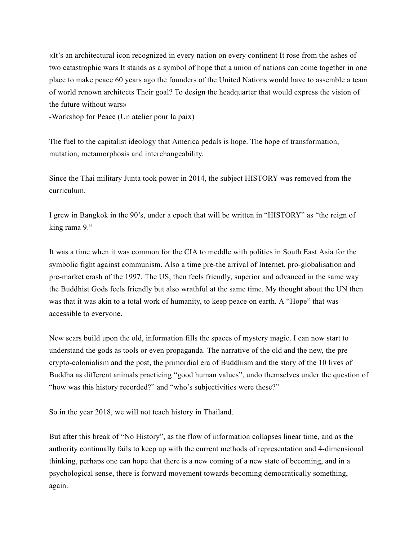«It's an architectural icon recognized in every nation on every continent It rose from the ashes of two catastrophic wars It stands as a symbol of hope that a union of nations can come together in one place to make peace 60 years ago the founders of the United Nations would have to assemble a team of world renown architects Their goal? To design the headquarter that would express the vision of the future without wars»

-Workshop for Peace (Un atelier pour la paix)

The fuel to the capitalist ideology that America pedals is hope. The hope of transformation, mutation, metamorphosis and interchangeability.

Since the Thai military Junta took power in 2014, the subject HISTORY was removed from the curriculum.

I grew in Bangkok in the 90's, under a epoch that will be written in "HISTORY" as "the reign of king rama 9."

It was a time when it was common for the CIA to meddle with politics in South East Asia for the symbolic fight against communism. Also a time pre-the arrival of Internet, pro-globalisation and pre-market crash of the 1997. The US, then feels friendly, superior and advanced in the same way the Buddhist Gods feels friendly but also wrathful at the same time. My thought about the UN then was that it was akin to a total work of humanity, to keep peace on earth. A "Hope" that was accessible to everyone.

New scars build upon the old, information fills the spaces of mystery magic. I can now start to understand the gods as tools or even propaganda. The narrative of the old and the new, the pre crypto-colonialism and the post, the primordial era of Buddhism and the story of the 10 lives of Buddha as different animals practicing "good human values", undo themselves under the question of "how was this history recorded?" and "who's subjectivities were these?"

So in the year 2018, we will not teach history in Thailand.

But after this break of "No History", as the flow of information collapses linear time, and as the authority continually fails to keep up with the current methods of representation and 4-dimensional thinking, perhaps one can hope that there is a new coming of a new state of becoming, and in a psychological sense, there is forward movement towards becoming democratically something, again.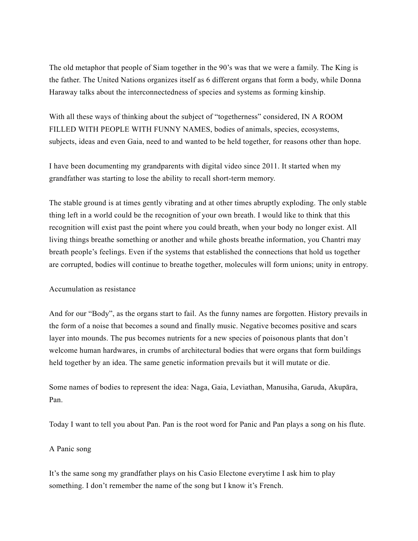The old metaphor that people of Siam together in the 90's was that we were a family. The King is the father. The United Nations organizes itself as 6 different organs that form a body, while Donna Haraway talks about the interconnectedness of species and systems as forming kinship.

With all these ways of thinking about the subject of "togetherness" considered, IN A ROOM FILLED WITH PEOPLE WITH FUNNY NAMES, bodies of animals, species, ecosystems, subjects, ideas and even Gaia, need to and wanted to be held together, for reasons other than hope.

I have been documenting my grandparents with digital video since 2011. It started when my grandfather was starting to lose the ability to recall short-term memory.

The stable ground is at times gently vibrating and at other times abruptly exploding. The only stable thing left in a world could be the recognition of your own breath. I would like to think that this recognition will exist past the point where you could breath, when your body no longer exist. All living things breathe something or another and while ghosts breathe information, you Chantri may breath people's feelings. Even if the systems that established the connections that hold us together are corrupted, bodies will continue to breathe together, molecules will form unions; unity in entropy.

## Accumulation as resistance

And for our "Body", as the organs start to fail. As the funny names are forgotten. History prevails in the form of a noise that becomes a sound and finally music. Negative becomes positive and scars layer into mounds. The pus becomes nutrients for a new species of poisonous plants that don't welcome human hardwares, in crumbs of architectural bodies that were organs that form buildings held together by an idea. The same genetic information prevails but it will mutate or die.

Some names of bodies to represent the idea: Naga, Gaia, Leviathan, Manusiha, Garuda, Akupāra, Pan.

Today I want to tell you about Pan. Pan is the root word for Panic and Pan plays a song on his flute.

## A Panic song

It's the same song my grandfather plays on his Casio Electone everytime I ask him to play something. I don't remember the name of the song but I know it's French.